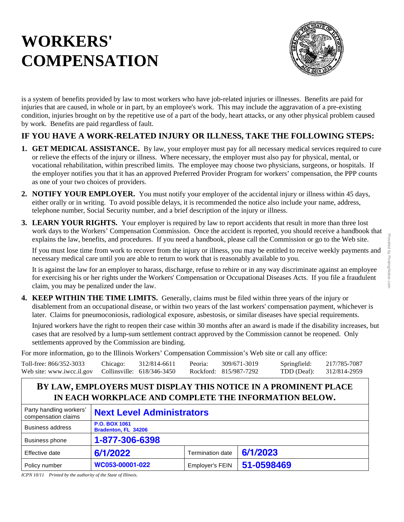# **WORKERS' COMPENSATION**



is a system of benefits provided by law to most workers who have job-related injuries or illnesses. Benefits are paid for injuries that are caused, in whole or in part, by an employee's work. This may include the aggravation of a pre-existing condition, injuries brought on by the repetitive use of a part of the body, heart attacks, or any other physical problem caused by work. Benefits are paid regardless of fault.

## **IF YOU HAVE A WORK-RELATED INJURY OR ILLNESS, TAKE THE FOLLOWING STEPS:**

- **1. GET MEDICAL ASSISTANCE.** By law, your employer must pay for all necessary medical services required to cure or relieve the effects of the injury or illness. Where necessary, the employer must also pay for physical, mental, or vocational rehabilitation, within prescribed limits. The employee may choose two physicians, surgeons, or hospitals. If the employer notifies you that it has an approved Preferred Provider Program for workers' compensation, the PPP counts as one of your two choices of providers.
- **2. NOTIFY YOUR EMPLOYER.** You must notify your employer of the accidental injury or illness within 45 days, either orally or in writing. To avoid possible delays, it is recommended the notice also include your name, address, telephone number, Social Security number, and a brief description of the injury or illness.
- **3. LEARN YOUR RIGHTS.** Your employer is required by law to report accidents that result in more than three lost work days to the Workers' Compensation Commission. Once the accident is reported, you should receive a handbook that explains the law, benefits, and procedures. If you need a handbook, please call the Commission or go to the Web site.

If you must lose time from work to recover from the injury or illness, you may be entitled to receive weekly payments and necessary medical care until you are able to return to work that is reasonably available to you.

It is against the law for an employer to harass, discharge, refuse to rehire or in any way discriminate against an employee for exercising his or her rights under the Workers' Compensation or Occupational Diseases Acts. If you file a fraudulent claim, you may be penalized under the law.

**4. KEEP WITHIN THE TIME LIMITS.** Generally, claims must be filed within three years of the injury or disablement from an occupational disease, or within two years of the last workers' compensation payment, whichever is later. Claims for pneumoconiosis, radiological exposure, asbestosis, or similar diseases have special requirements.

Injured workers have the right to reopen their case within 30 months after an award is made if the disability increases, but cases that are resolved by a lump-sum settlement contract approved by the Commission cannot be reopened. Only settlements approved by the Commission are binding.

For more information, go to the Illinois Workers' Compensation Commission's Web site or call any office:

| Toll-free: 866/352-3033                                 | Chicago: | 312/814-6611 | Peoria: | 309/671-3019           | Springfield:             | 217/785-7087 |
|---------------------------------------------------------|----------|--------------|---------|------------------------|--------------------------|--------------|
| Web site: www.iwcc.il.gov    Collinsville: 618/346-3450 |          |              |         | Rockford: 815/987-7292 | TDD (Deaf): 312/814-2959 |              |

## **BY LAW, EMPLOYERS MUST DISPLAY THIS NOTICE IN A PROMINENT PLACE IN EACH WORKPLACE AND COMPLETE THE INFORMATION BELOW.**

| Party handling workers'<br>compensation claims | <b>Next Level Administrators</b>            |                         |            |  |  |
|------------------------------------------------|---------------------------------------------|-------------------------|------------|--|--|
| Business address                               | <b>P.O. BOX 1061</b><br>Bradenton, FL 34206 |                         |            |  |  |
| <b>Business phone</b>                          | 1-877-306-6398                              |                         |            |  |  |
| Effective date                                 | 6/1/2022                                    | <b>Termination date</b> | 6/1/2023   |  |  |
| Policy number                                  | WC053-00001-022                             | <b>Employer's FEIN</b>  | 51-0598469 |  |  |

*ICPN 10/11 Printed by the authority of the State of Illinois.*